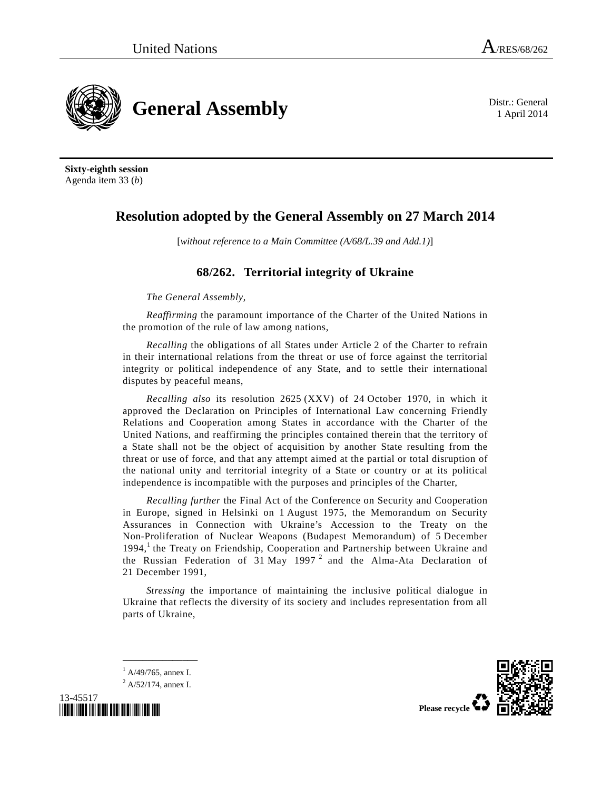**General Assembly** Distr.: General

1 April 2014

**Sixty-eighth session**  Agenda item 33 (*b*)

## **Resolution adopted by the General Assembly on 27 March 2014**

[*without reference to a Main Committee (A/68/L.39 and Add.1)*]

## **68/262. Territorial integrity of Ukraine**

*The General Assembly*,

*Reaffirming* the paramount importance of the Charter of the United Nations in the promotion of the rule of law among nations,

 *Recalling* the obligations of all States under Article 2 of the Charter to refrain in their international relations from the threat or use of force against the territorial integrity or political independence of any State, and to settle their international disputes by peaceful means,

 *Recalling also* its resolution 2625 (XXV) of 24 October 1970, in which it approved the Declaration on Principles of International Law concerning Friendly Relations and Cooperation among States in accordance with the Charter of the United Nations, and reaffirming the principles contained therein that the territory of a State shall not be the object of acquisition by another State resulting from the threat or use of force, and that any attempt aimed at the partial or total disruption of the national unity and territorial integrity of a State or country or at its political independence is incompatible with the purposes and principles of the Charter,

*Recalling further* the Final Act of the Conference on Security and Cooperation in Europe, signed in Helsinki on 1 August 1975, the Memorandum on Security Assurances in Connection with Ukraine's Accession to the Treaty on the Non-Proliferation of Nuclear Weapons (Budapest Memorandum) of 5 December 1994,<sup>1</sup> the Treaty on Friendship, Cooperation and Partnership between Ukraine and the Russian Federation of 31 May 1997<sup>2</sup> and the Alma-Ata Declaration of 21 December 1991,

*Stressing* the importance of maintaining the inclusive political dialogue in Ukraine that reflects the diversity of its society and includes representation from all parts of Ukraine,

1 A/49/765, annex I. <sup>2</sup> A/52/174, annex I.

**\_\_\_\_\_\_\_\_\_\_\_\_\_\_\_**